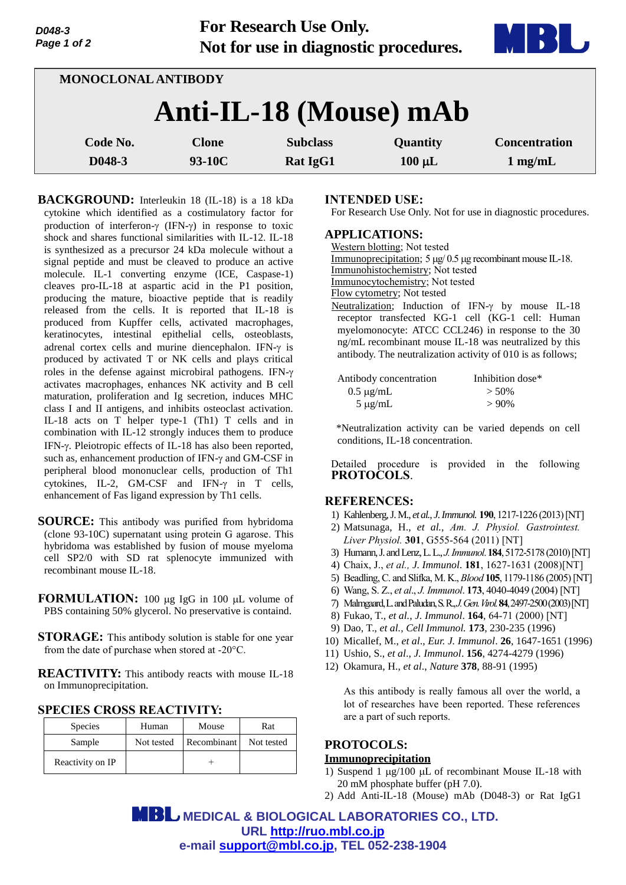| D048-3      |  |
|-------------|--|
| Page 1 of 2 |  |

**For Research Use Only. Not for use in diagnostic procedures.**



|                        | MONOCLONAL ANTIBODY |              |                 |             |                      |
|------------------------|---------------------|--------------|-----------------|-------------|----------------------|
| Anti-IL-18 (Mouse) mAb |                     |              |                 |             |                      |
| Code No.               |                     | <b>Clone</b> | <b>Subclass</b> | Quantity    | <b>Concentration</b> |
| D048-3                 |                     | 93-10C       | <b>Rat IgG1</b> | $100 \mu L$ | $1 \text{ mg/mL}$    |

**BACKGROUND:** Interleukin 18 (IL-18) is a 18 kDa cytokine which identified as a costimulatory factor for production of interferon- $\gamma$  (IFN- $\gamma$ ) in response to toxic shock and shares functional similarities with IL-12. IL-18 is synthesized as a precursor 24 kDa molecule without a signal peptide and must be cleaved to produce an active molecule. IL-1 converting enzyme (ICE, Caspase-1) cleaves pro-IL-18 at aspartic acid in the P1 position, producing the mature, bioactive peptide that is readily released from the cells. It is reported that IL-18 is produced from Kupffer cells, activated macrophages, keratinocytes, intestinal epithelial cells, osteoblasts, adrenal cortex cells and murine diencephalon. IFN- $\gamma$  is produced by activated T or NK cells and plays critical roles in the defense against microbiral pathogens. IFN activates macrophages, enhances NK activity and B cell maturation, proliferation and Ig secretion, induces MHC class I and II antigens, and inhibits osteoclast activation. IL-18 acts on T helper type-1 (Th1) T cells and in combination with IL-12 strongly induces them to produce IFN- $\gamma$ . Pleiotropic effects of IL-18 has also been reported, such as, enhancement production of IFN- $\gamma$  and GM-CSF in peripheral blood mononuclear cells, production of Th1 cytokines, IL-2, GM-CSF and IFN- $\gamma$  in T cells, enhancement of Fas ligand expression by Th1 cells.

- **SOURCE:** This antibody was purified from hybridoma (clone 93-10C) supernatant using protein G agarose. This hybridoma was established by fusion of mouse myeloma cell SP2/0 with SD rat splenocyte immunized with recombinant mouse IL-18.
- **FORMULATION:** 100 ug IgG in 100 uL volume of PBS containing 50% glycerol. No preservative is containd.
- **STORAGE:** This antibody solution is stable for one year from the date of purchase when stored at -20°C.

**REACTIVITY:** This antibody reacts with mouse IL-18 on Immunoprecipitation.

| <b>SPECIES CROSS REACTIVITY:</b> |  |  |  |  |
|----------------------------------|--|--|--|--|
|----------------------------------|--|--|--|--|

| <b>Species</b>   | Human      | Mouse       | Rat        |
|------------------|------------|-------------|------------|
| Sample           | Not tested | Recombinant | Not tested |
| Reactivity on IP |            |             |            |

### **INTENDED USE:**

For Research Use Only. Not for use in diagnostic procedures.

### **APPLICATIONS:**

| Western blotting; Not tested                                                                                                                                                                                                  |
|-------------------------------------------------------------------------------------------------------------------------------------------------------------------------------------------------------------------------------|
| Immunoprecipitation; $5 \mu g / 0.5 \mu g$ recombinant mouse IL-18.                                                                                                                                                           |
| Immunohistochemistry; Not tested                                                                                                                                                                                              |
| Immunocytochemistry; Not tested                                                                                                                                                                                               |
| Flow cytometry; Not tested                                                                                                                                                                                                    |
| Neutralization; Induction of IFN- $\gamma$ by mouse IL-18                                                                                                                                                                     |
| receptor transfected KG-1 cell (KG-1 cell: Human<br>myelomonocyte: ATCC CCL246) in response to the 30<br>ng/mL recombinant mouse IL-18 was neutralized by this<br>antibody. The neutralization activity of 010 is as follows; |
|                                                                                                                                                                                                                               |

| Antibody concentration | Inhibition dose* |
|------------------------|------------------|
| $0.5 \mu$ g/mL         | $> 50\%$         |
| $5 \mu g/mL$           | $>90\%$          |

\*Neutralization activity can be varied depends on cell conditions, IL-18 concentration.

Detailed procedure is provided in the following **PROTOCOLS**.

### **REFERENCES:**

- 1) Kahlenberg,J. M., *et al.*, *J.Immunol.* **190**, 1217-1226 (2013)[NT]
- 2) Matsunaga, H., *et al., Am. J. Physiol. Gastrointest. Liver Physiol.* **301**, G555-564 (2011) [NT]
- 3) Humann,J. and Lenz,L. L., *J.Immunol*. **184**, 5172-5178 (2010)[NT]
- 4) Chaix, J., *et al., J. Immunol.* **181**, 1627-1631 (2008)[NT]
- 5) Beadling,C. and Slifka, M. K., *Blood* **105**, 1179-1186 (2005)[NT]
- 6) Wang, S. Z., *et al*., *J. Immunol*. **173**, 4040-4049 (2004) [NT]
- 7) Malmgaard,L. and Paludan,S. R., *J.Gen.Virol.***84**, 2497-2500 (2003)[NT]
- 8) Fukao, T., *et al.*, *J. Immunol*. **164**, 64-71 (2000) [NT]
- 9) Dao, T., *et al., Cell Immunol.* **173**, 230-235 (1996)
- 10) Micallef, M., *et al*., *Eur. J. Immunol*. **26**, 1647-1651 (1996)
- 11) Ushio, S., *et al*., *J. Immunol*. **156**, 4274-4279 (1996)
- 12) Okamura, H., *et al*., *Nature* **378**, 88-91 (1995)

As this antibody is really famous all over the world, a lot of researches have been reported. These references are a part of such reports.

# **PROTOCOLS:**

# **Immunoprecipitation**

- 1) Suspend 1  $\mu$ g/100  $\mu$ L of recombinant Mouse IL-18 with 20 mM phosphate buffer (pH 7.0).
- 2) Add Anti-IL-18 (Mouse) mAb (D048-3) or Rat IgG1

 **MEDICAL & BIOLOGICAL LABORATORIES CO., LTD. URL [http://ruo.mbl.co.jp](https://res.mbl.co.jp/) e-mail [support@mbl.co.jp,](mailto:support@mbl.co.jp) TEL 052-238-1904**